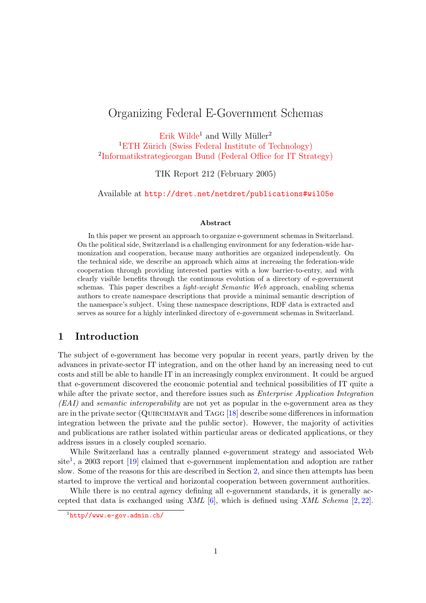# Organizing Federal E-Government Schemas

[Erik Wilde](http://dret.net/netdret/)<sup>1</sup> and Willy Müller<sup>2</sup>

<sup>1</sup>ETH Zürich (Swiss Federal Institute of Technology) <sup>2</sup>[Informatikstrategieorgan Bund \(Federal Office for IT Strategy\)](http://www.isb.admin.ch/internet/)

TIK Report 212 (February 2005)

Available at <http://dret.net/netdret/publications#wil05e>

#### Abstract

In this paper we present an approach to organize e-government schemas in Switzerland. On the political side, Switzerland is a challenging environment for any federation-wide harmonization and cooperation, because many authorities are organized independently. On the technical side, we describe an approach which aims at increasing the federation-wide cooperation through providing interested parties with a low barrier-to-entry, and with clearly visible benefits through the continuous evolution of a directory of e-government schemas. This paper describes a light-weight Semantic Web approach, enabling schema authors to create namespace descriptions that provide a minimal semantic description of the namespace's subject. Using these namespace descriptions, RDF data is extracted and serves as source for a highly interlinked directory of e-government schemas in Switzerland.

#### 1 Introduction

The subject of e-government has become very popular in recent years, partly driven by the advances in private-sector IT integration, and on the other hand by an increasing need to cut costs and still be able to handle IT in an increasingly complex environment. It could be argued that e-government discovered the economic potential and technical possibilities of IT quite a while after the private sector, and therefore issues such as *Enterprise Application Integration* (EAI) and semantic interoperability are not yet as popular in the e-government area as they are in the private sector (QUIRCHMAYR and TAGG  $[18]$  describe some differences in information integration between the private and the public sector). However, the majority of activities and publications are rather isolated within particular areas or dedicated applications, or they address issues in a closely coupled scenario.

While Switzerland has a centrally planned e-government strategy and associated Web site<sup>1</sup>, a 2003 report [\[19\]](#page-13-0) claimed that e-government implementation and adoption are rather slow. Some of the reasons for this are described in Section [2,](#page-1-0) and since then attempts has been started to improve the vertical and horizontal cooperation between government authorities.

While there is no central agency defining all e-government standards, it is generally accepted that data is exchanged using  $XML$  [\[6\]](#page-12-0), which is defined using  $XML$  Schema [\[2,](#page-12-0) [22\]](#page-13-0).

<sup>1</sup><http//www.e-gov.admin.ch/>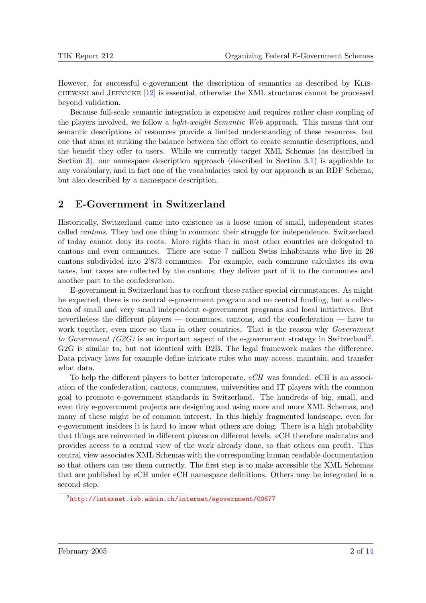<span id="page-1-0"></span>However, for successful e-government the description of semantics as described by Klis- $CHEWSKI$  and JEENICKE [\[12\]](#page-12-0) is essential, otherwise the XML structures cannot be processed beyond validation.

Because full-scale semantic integration is expensive and requires rather close coupling of the players involved, we follow a *light-weight Semantic Web* approach. This means that our semantic descriptions of resources provide a limited understanding of these resources, but one that aims at striking the balance between the effort to create semantic descriptions, and the benefit they offer to users. While we currently target XML Schemas (as described in Section [3\)](#page-2-0), our namespace description approach (described in Section [3.1\)](#page-3-0) is applicable to any vocabulary, and in fact one of the vocabularies used by our approach is an RDF Schema, but also described by a namespace description.

### 2 E-Government in Switzerland

Historically, Switzerland came into existence as a loose union of small, independent states called cantons. They had one thing in common: their struggle for independence. Switzerland of today cannot deny its roots. More rights than in most other countries are delegated to cantons and even communes. There are some 7 million Swiss inhabitants who live in 26 cantons subdivided into 2'873 communes. For example, each commune calculates its own taxes, but taxes are collected by the cantons; they deliver part of it to the communes and another part to the confederation.

E-government in Switzerland has to confront these rather special circumstances. As might be expected, there is no central e-government program and no central funding, but a collection of small and very small independent e-government programs and local initiatives. But nevertheless the different players — communes, cantons, and the confederation — have to work together, even more so than in other countries. That is the reason why *Government* to Government (G2G) is an important aspect of the e-government strategy in Switzerland<sup>2</sup>. G2G is similar to, but not identical with B2B. The legal framework makes the difference. Data privacy laws for example define intricate rules who may access, maintain, and transfer what data.

To help the different players to better interoperate, eCH was founded. eCH is an association of the confederation, cantons, communes, universities and IT players with the common goal to promote e-government standards in Switzerland. The hundreds of big, small, and even tiny e-government projects are designing and using more and more XML Schemas, and many of these might be of common interest. In this highly fragmented landscape, even for e-government insiders it is hard to know what others are doing. There is a high probability that things are reinvented in different places on different levels. eCH therefore maintains and provides access to a central view of the work already done, so that others can profit. This central view associates XML Schemas with the corresponding human readable documentation so that others can use them correctly. The first step is to make accessible the XML Schemas that are published by eCH under eCH namespace definitions. Others may be integrated in a second step.

<sup>2</sup><http://internet.isb.admin.ch/internet/egovernment/00677>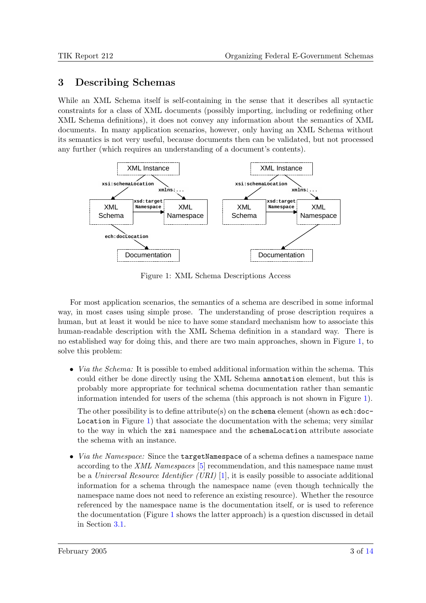## <span id="page-2-0"></span>3 Describing Schemas

While an XML Schema itself is self-containing in the sense that it describes all syntactic constraints for a class of XML documents (possibly importing, including or redefining other XML Schema definitions), it does not convey any information about the semantics of XML documents. In many application scenarios, however, only having an XML Schema without its semantics is not very useful, because documents then can be validated, but not processed any further (which requires an understanding of a document's contents).



Figure 1: XML Schema Descriptions Access

For most application scenarios, the semantics of a schema are described in some informal way, in most cases using simple prose. The understanding of prose description requires a human, but at least it would be nice to have some standard mechanism how to associate this human-readable description with the XML Schema definition in a standard way. There is no established way for doing this, and there are two main approaches, shown in Figure 1, to solve this problem:

• *Via the Schema:* It is possible to embed additional information within the schema. This could either be done directly using the XML Schema annotation element, but this is probably more appropriate for technical schema documentation rather than semantic information intended for users of the schema (this approach is not shown in Figure 1).

The other possibility is to define attribute(s) on the schema element (shown as ech:doc-Location in Figure 1) that associate the documentation with the schema; very similar to the way in which the xsi namespace and the schemaLocation attribute associate the schema with an instance.

• *Via the Namespace:* Since the **targetNamespace** of a schema defines a namespace name according to the XML Namespaces [\[5\]](#page-12-0) recommendation, and this namespace name must be a Universal Resource Identifier (URI)  $[1]$ , it is easily possible to associate additional information for a schema through the namespace name (even though technically the namespace name does not need to reference an existing resource). Whether the resource referenced by the namespace name is the documentation itself, or is used to reference the documentation (Figure 1 shows the latter approach) is a question discussed in detail in Section [3.1.](#page-3-0)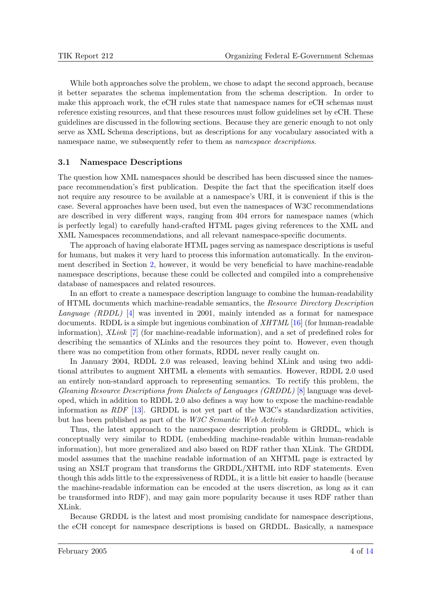<span id="page-3-0"></span>While both approaches solve the problem, we chose to adapt the second approach, because it better separates the schema implementation from the schema description. In order to make this approach work, the eCH rules state that namespace names for eCH schemas must reference existing resources, and that these resources must follow guidelines set by eCH. These guidelines are discussed in the following sections. Because they are generic enough to not only serve as XML Schema descriptions, but as descriptions for any vocabulary associated with a namespace name, we subsequently refer to them as namespace descriptions.

#### 3.1 Namespace Descriptions

The question how XML namespaces should be described has been discussed since the namespace recommendation's first publication. Despite the fact that the specification itself does not require any resource to be available at a namespace's URI, it is convenient if this is the case. Several approaches have been used, but even the namespaces of W3C recommendations are described in very different ways, ranging from 404 errors for namespace names (which is perfectly legal) to carefully hand-crafted HTML pages giving references to the XML and XML Namespaces recommendations, and all relevant namespace-specific documents.

The approach of having elaborate HTML pages serving as namespace descriptions is useful for humans, but makes it very hard to process this information automatically. In the environment described in Section [2,](#page-1-0) however, it would be very beneficial to have machine-readable namespace descriptions, because these could be collected and compiled into a comprehensive database of namespaces and related resources.

In an effort to create a namespace description language to combine the human-readability of HTML documents which machine-readable semantics, the Resource Directory Description Language  $(RDDL)$  [\[4\]](#page-12-0) was invented in 2001, mainly intended as a format for namespace documents. RDDL is a simple but ingenious combination of  $XHTML$  [\[16\]](#page-13-0) (for human-readable information), XLink [\[7\]](#page-12-0) (for machine-readable information), and a set of predefined roles for describing the semantics of XLinks and the resources they point to. However, even though there was no competition from other formats, RDDL never really caught on.

In January 2004, RDDL 2.0 was released, leaving behind XLink and using two additional attributes to augment XHTML a elements with semantics. However, RDDL 2.0 used an entirely non-standard approach to representing semantics. To rectify this problem, the Gleaning Resource Descriptions from Dialects of Languages (GRDDL) [\[8\]](#page-12-0) language was developed, which in addition to RDDL 2.0 also defines a way how to expose the machine-readable information as RDF [\[13\]](#page-12-0). GRDDL is not yet part of the W3C's standardization activities, but has been published as part of the W3C Semantic Web Activity.

Thus, the latest approach to the namespace description problem is GRDDL, which is conceptually very similar to RDDL (embedding machine-readable within human-readable information), but more generalized and also based on RDF rather than XLink. The GRDDL model assumes that the machine readable information of an XHTML page is extracted by using an XSLT program that transforms the GRDDL/XHTML into RDF statements. Even though this adds little to the expressiveness of RDDL, it is a little bit easier to handle (because the machine-readable information can be encoded at the users discretion, as long as it can be transformed into RDF), and may gain more popularity because it uses RDF rather than XLink.

Because GRDDL is the latest and most promising candidate for namespace descriptions, the eCH concept for namespace descriptions is based on GRDDL. Basically, a namespace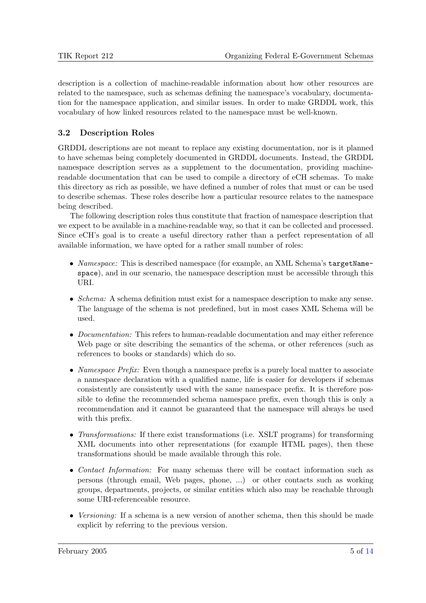<span id="page-4-0"></span>description is a collection of machine-readable information about how other resources are related to the namespace, such as schemas defining the namespace's vocabulary, documentation for the namespace application, and similar issues. In order to make GRDDL work, this vocabulary of how linked resources related to the namespace must be well-known.

### 3.2 Description Roles

GRDDL descriptions are not meant to replace any existing documentation, nor is it planned to have schemas being completely documented in GRDDL documents. Instead, the GRDDL namespace description serves as a supplement to the documentation, providing machinereadable documentation that can be used to compile a directory of eCH schemas. To make this directory as rich as possible, we have defined a number of roles that must or can be used to describe schemas. These roles describe how a particular resource relates to the namespace being described.

The following description roles thus constitute that fraction of namespace description that we expect to be available in a machine-readable way, so that it can be collected and processed. Since eCH's goal is to create a useful directory rather than a perfect representation of all available information, we have opted for a rather small number of roles:

- Namespace: This is described namespace (for example, an XML Schema's targetNamespace), and in our scenario, the namespace description must be accessible through this URI.
- Schema: A schema definition must exist for a namespace description to make any sense. The language of the schema is not predefined, but in most cases XML Schema will be used.
- *Documentation:* This refers to human-readable documentation and may either reference Web page or site describing the semantics of the schema, or other references (such as references to books or standards) which do so.
- Namespace Prefix: Even though a namespace prefix is a purely local matter to associate a namespace declaration with a qualified name, life is easier for developers if schemas consistently are consistently used with the same namespace prefix. It is therefore possible to define the recommended schema namespace prefix, even though this is only a recommendation and it cannot be guaranteed that the namespace will always be used with this prefix.
- Transformations: If there exist transformations (i.e. XSLT programs) for transforming XML documents into other representations (for example HTML pages), then these transformations should be made available through this role.
- Contact Information: For many schemas there will be contact information such as persons (through email, Web pages, phone, ...) or other contacts such as working groups, departments, projects, or similar entities which also may be reachable through some URI-referenceable resource.
- Versioning: If a schema is a new version of another schema, then this should be made explicit by referring to the previous version.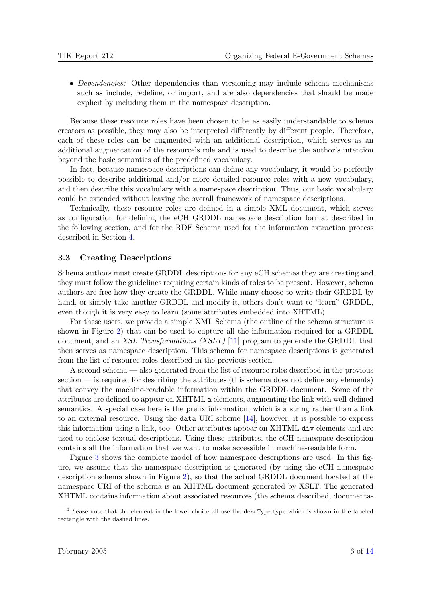<span id="page-5-0"></span>• Dependencies: Other dependencies than versioning may include schema mechanisms such as include, redefine, or import, and are also dependencies that should be made explicit by including them in the namespace description.

Because these resource roles have been chosen to be as easily understandable to schema creators as possible, they may also be interpreted differently by different people. Therefore, each of these roles can be augmented with an additional description, which serves as an additional augmentation of the resource's role and is used to describe the author's intention beyond the basic semantics of the predefined vocabulary.

In fact, because namespace descriptions can define any vocabulary, it would be perfectly possible to describe additional and/or more detailed resource roles with a new vocabulary, and then describe this vocabulary with a namespace description. Thus, our basic vocabulary could be extended without leaving the overall framework of namespace descriptions.

Technically, these resource roles are defined in a simple XML document, which serves as configuration for defining the eCH GRDDL namespace description format described in the following section, and for the RDF Schema used for the information extraction process described in Section [4.](#page-6-0)

#### 3.3 Creating Descriptions

Schema authors must create GRDDL descriptions for any eCH schemas they are creating and they must follow the guidelines requiring certain kinds of roles to be present. However, schema authors are free how they create the GRDDL. While many choose to write their GRDDL by hand, or simply take another GRDDL and modify it, others don't want to "learn" GRDDL, even though it is very easy to learn (some attributes embedded into XHTML).

For these users, we provide a simple XML Schema (the outline of the schema structure is shown in Figure [2\)](#page-6-0) that can be used to capture all the information required for a GRDDL document, and an *XSL Transformations (XSLT)* [\[11\]](#page-12-0) program to generate the GRDDL that then serves as namespace description. This schema for namespace descriptions is generated from the list of resource roles described in the previous section.

A second schema — also generated from the list of resource roles described in the previous section — is required for describing the attributes (this schema does not define any elements) that convey the machine-readable information within the GRDDL document. Some of the attributes are defined to appear on XHTML a elements, augmenting the link with well-defined semantics. A special case here is the prefix information, which is a string rather than a link to an external resource. Using the data URI scheme [\[14\]](#page-12-0), however, it is possible to express this information using a link, too. Other attributes appear on XHTML div elements and are used to enclose textual descriptions. Using these attributes, the eCH namespace description contains all the information that we want to make accessible in machine-readable form.

Figure [3](#page-7-0) shows the complete model of how namespace descriptions are used. In this figure, we assume that the namespace description is generated (by using the eCH namespace description schema shown in Figure [2\)](#page-6-0), so that the actual GRDDL document located at the namespace URI of the schema is an XHTML document generated by XSLT. The generated XHTML contains information about associated resources (the schema described, documenta-

<sup>&</sup>lt;sup>3</sup>Please note that the element in the lower choice all use the **descType** type which is shown in the labeled rectangle with the dashed lines.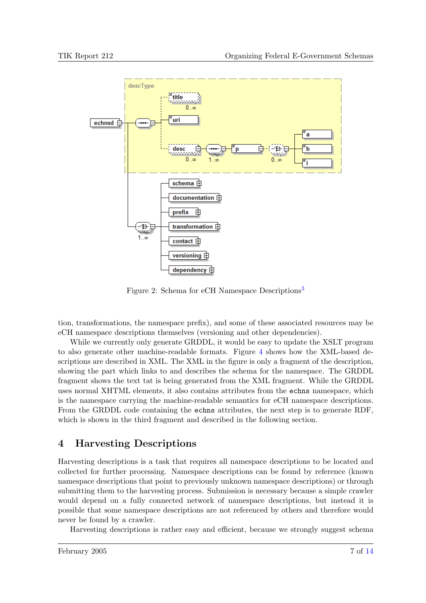<span id="page-6-0"></span>

Figure 2: Schema for eCH Namespace Descriptions<sup>[3](#page-5-0)</sup>

tion, transformations, the namespace prefix), and some of these associated resources may be eCH namespace descriptions themselves (versioning and other dependencies).

While we currently only generate GRDDL, it would be easy to update the XSLT program to also generate other machine-readable formats. Figure [4](#page-8-0) shows how the XML-based descriptions are described in XML. The XML in the figure is only a fragment of the description, showing the part which links to and describes the schema for the namespace. The GRDDL fragment shows the text tat is being generated from the XML fragment. While the GRDDL uses normal XHTML elements, it also contains attributes from the echns namespace, which is the namespace carrying the machine-readable semantics for eCH namespace descriptions. From the GRDDL code containing the echns attributes, the next step is to generate RDF, which is shown in the third fragment and described in the following section.

## 4 Harvesting Descriptions

Harvesting descriptions is a task that requires all namespace descriptions to be located and collected for further processing. Namespace descriptions can be found by reference (known namespace descriptions that point to previously unknown namespace descriptions) or through submitting them to the harvesting process. Submission is necessary because a simple crawler would depend on a fully connected network of namespace descriptions, but instead it is possible that some namespace descriptions are not referenced by others and therefore would never be found by a crawler.

Harvesting descriptions is rather easy and efficient, because we strongly suggest schema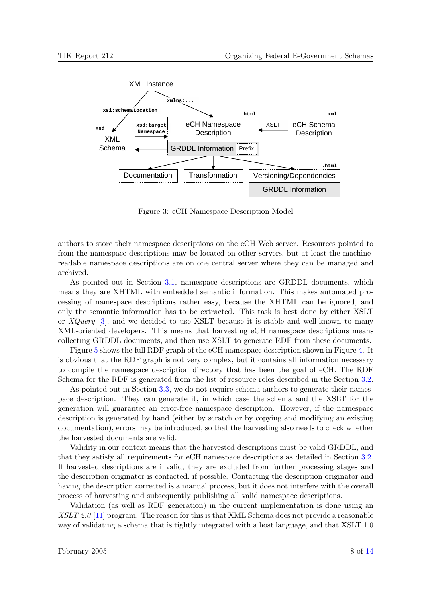<span id="page-7-0"></span>

Figure 3: eCH Namespace Description Model

authors to store their namespace descriptions on the eCH Web server. Resources pointed to from the namespace descriptions may be located on other servers, but at least the machinereadable namespace descriptions are on one central server where they can be managed and archived.

As pointed out in Section [3.1,](#page-3-0) namespace descriptions are GRDDL documents, which means they are XHTML with embedded semantic information. This makes automated processing of namespace descriptions rather easy, because the XHTML can be ignored, and only the semantic information has to be extracted. This task is best done by either XSLT or  $XQuery$  [\[3\]](#page-12-0), and we decided to use XSLT because it is stable and well-known to many XML-oriented developers. This means that harvesting eCH namespace descriptions means collecting GRDDL documents, and then use XSLT to generate RDF from these documents.

Figure [5](#page-9-0) shows the full RDF graph of the eCH namespace description shown in Figure [4.](#page-8-0) It is obvious that the RDF graph is not very complex, but it contains all information necessary to compile the namespace description directory that has been the goal of eCH. The RDF Schema for the RDF is generated from the list of resource roles described in the Section [3.2.](#page-4-0)

As pointed out in Section [3.3,](#page-5-0) we do not require schema authors to generate their namespace description. They can generate it, in which case the schema and the XSLT for the generation will guarantee an error-free namespace description. However, if the namespace description is generated by hand (either by scratch or by copying and modifying an existing documentation), errors may be introduced, so that the harvesting also needs to check whether the harvested documents are valid.

Validity in our context means that the harvested descriptions must be valid GRDDL, and that they satisfy all requirements for eCH namespace descriptions as detailed in Section [3.2.](#page-4-0) If harvested descriptions are invalid, they are excluded from further processing stages and the description originator is contacted, if possible. Contacting the description originator and having the description corrected is a manual process, but it does not interfere with the overall process of harvesting and subsequently publishing all valid namespace descriptions.

Validation (as well as RDF generation) in the current implementation is done using an XSLT 2.0 [\[11\]](#page-12-0) program. The reason for this is that XML Schema does not provide a reasonable way of validating a schema that is tightly integrated with a host language, and that XSLT 1.0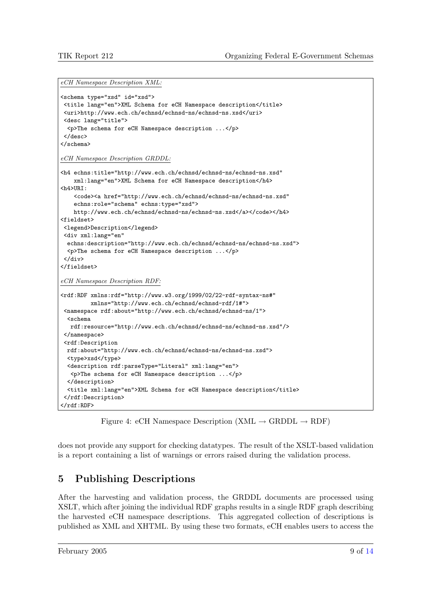<span id="page-8-0"></span>eCH Namespace Description XML:

```
<schema type="xsd" id="xsd">
<title lang="en">XML Schema for eCH Namespace description</title>
<uri>http://www.ech.ch/echnsd/echnsd-ns/echnsd-ns.xsd</uri>
<desc lang="title">
 <p>The schema for eCH Namespace description ...</p>
</desc>
</schema>
eCH Namespace Description GRDDL:
<h4 echns:title="http://www.ech.ch/echnsd/echnsd-ns/echnsd-ns.xsd"
    xml:lang="en">XML Schema for eCH Namespace description</h4>
<h4>URI:
    <code><a href="http://www.ech.ch/echnsd/echnsd-ns/echnsd-ns.xsd"</code>
    echns:role="schema" echns:type="xsd">
   http://www.ech.ch/echnsd/echnsd-ns/echnsd-ns.xsd</a></code></h4>
<fieldset>
<legend>Description</legend>
<div xml:lang="en"
 echns:description="http://www.ech.ch/echnsd/echnsd-ns/echnsd-ns.xsd">
 <p>The schema for eCH Namespace description ...</p>
</div>
</fieldset>
eCH Namespace Description RDF:
<rdf:RDF xmlns:rdf="http://www.w3.org/1999/02/22-rdf-syntax-ns#"
        xmlns="http://www.ech.ch/echnsd/echnsd-rdf/1#">
<namespace rdf:about="http://www.ech.ch/echnsd/echnsd-ns/1">
 <schema
  rdf:resource="http://www.ech.ch/echnsd/echnsd-ns/echnsd-ns.xsd"/>
</namespace>
<rdf:Description
 rdf:about="http://www.ech.ch/echnsd/echnsd-ns/echnsd-ns.xsd">
 <type>xsd</type>
 <description rdf:parseType="Literal" xml:lang="en">
  <p>The schema for eCH Namespace description ...</p>
 </description>
 <title xml:lang="en">XML Schema for eCH Namespace description</title>
</rdf:Description>
\langlerdf:RDF>
```
Figure 4: eCH Namespace Description (XML  $\rightarrow$  GRDDL  $\rightarrow$  RDF)

does not provide any support for checking datatypes. The result of the XSLT-based validation is a report containing a list of warnings or errors raised during the validation process.

# 5 Publishing Descriptions

After the harvesting and validation process, the GRDDL documents are processed using XSLT, which after joining the individual RDF graphs results in a single RDF graph describing the harvested eCH namespace descriptions. This aggregated collection of descriptions is published as XML and XHTML. By using these two formats, eCH enables users to access the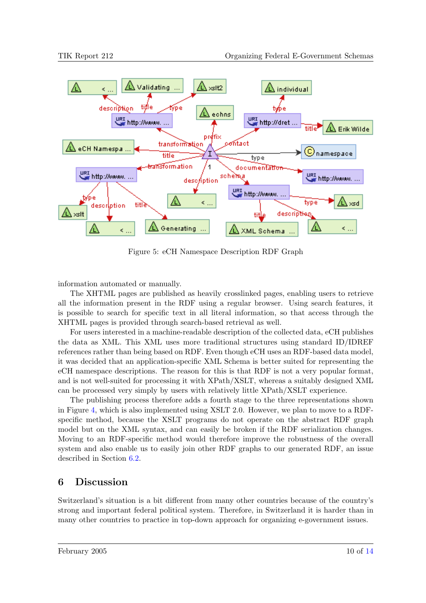<span id="page-9-0"></span>

Figure 5: eCH Namespace Description RDF Graph

information automated or manually.

The XHTML pages are published as heavily crosslinked pages, enabling users to retrieve all the information present in the RDF using a regular browser. Using search features, it is possible to search for specific text in all literal information, so that access through the XHTML pages is provided through search-based retrieval as well.

For users interested in a machine-readable description of the collected data, eCH publishes the data as XML. This XML uses more traditional structures using standard ID/IDREF references rather than being based on RDF. Even though eCH uses an RDF-based data model, it was decided that an application-specific XML Schema is better suited for representing the eCH namespace descriptions. The reason for this is that RDF is not a very popular format, and is not well-suited for processing it with XPath/XSLT, whereas a suitably designed XML can be processed very simply by users with relatively little XPath/XSLT experience.

The publishing process therefore adds a fourth stage to the three representations shown in Figure [4,](#page-8-0) which is also implemented using XSLT 2.0. However, we plan to move to a RDFspecific method, because the XSLT programs do not operate on the abstract RDF graph model but on the XML syntax, and can easily be broken if the RDF serialization changes. Moving to an RDF-specific method would therefore improve the robustness of the overall system and also enable us to easily join other RDF graphs to our generated RDF, an issue described in Section [6.2.](#page-10-0)

# 6 Discussion

Switzerland's situation is a bit different from many other countries because of the country's strong and important federal political system. Therefore, in Switzerland it is harder than in many other countries to practice in top-down approach for organizing e-government issues.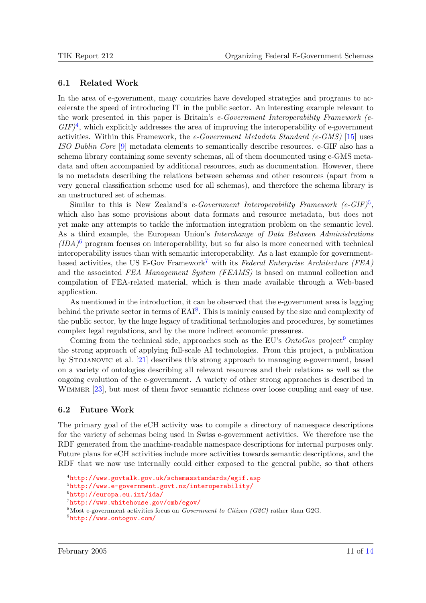#### <span id="page-10-0"></span>6.1 Related Work

In the area of e-government, many countries have developed strategies and programs to accelerate the speed of introducing IT in the public sector. An interesting example relevant to the work presented in this paper is Britain's e-Government Interoperability Framework (e- $GIF)^4$ , which explicitly addresses the area of improving the interoperability of e-government activities. Within this Framework, the e-Government Metadata Standard (e-GMS) [\[15\]](#page-13-0) uses ISO Dublin Core [\[9\]](#page-12-0) metadata elements to semantically describe resources. e-GIF also has a schema library containing some seventy schemas, all of them documented using e-GMS metadata and often accompanied by additional resources, such as documentation. However, there is no metadata describing the relations between schemas and other resources (apart from a very general classification scheme used for all schemas), and therefore the schema library is an unstructured set of schemas.

Similar to this is New Zealand's e-Government Interoperability Framework  $(e\text{-}GIF)^5$ , which also has some provisions about data formats and resource metadata, but does not yet make any attempts to tackle the information integration problem on the semantic level. As a third example, the European Union's Interchange of Data Between Administrations  $(IDA)^6$  program focuses on interoperability, but so far also is more concerned with technical interoperability issues than with semantic interoperability. As a last example for governmentbased activities, the US E-Gov Framework<sup>7</sup> with its Federal Enterprise Architecture (FEA) and the associated FEA Management System (FEAMS) is based on manual collection and compilation of FEA-related material, which is then made available through a Web-based application.

As mentioned in the introduction, it can be observed that the e-government area is lagging behind the private sector in terms of  $E A I^8$ . This is mainly caused by the size and complexity of the public sector, by the huge legacy of traditional technologies and procedures, by sometimes complex legal regulations, and by the more indirect economic pressures.

Coming from the technical side, approaches such as the EU's  $OntoGov$  project<sup>9</sup> employ the strong approach of applying full-scale AI technologies. From this project, a publication by Stojanovic et al. [\[21\]](#page-13-0) describes this strong approach to managing e-government, based on a variety of ontologies describing all relevant resources and their relations as well as the ongoing evolution of the e-government. A variety of other strong approaches is described in WIMMER [\[23\]](#page-13-0), but most of them favor semantic richness over loose coupling and easy of use.

#### 6.2 Future Work

The primary goal of the eCH activity was to compile a directory of namespace descriptions for the variety of schemas being used in Swiss e-government activities. We therefore use the RDF generated from the machine-readable namespace descriptions for internal purposes only. Future plans for eCH activities include more activities towards semantic descriptions, and the RDF that we now use internally could either exposed to the general public, so that others

<sup>4</sup><http://www.govtalk.gov.uk/schemasstandards/egif.asp>

<sup>5</sup><http://www.e-government.govt.nz/interoperability/>

<sup>6</sup><http://europa.eu.int/ida/>

<sup>7</sup><http://www.whitehouse.gov/omb/egov/>

<sup>&</sup>lt;sup>8</sup>Most e-government activities focus on *Government to Citizen (G2C)* rather than G2G.

<sup>9</sup><http://www.ontogov.com/>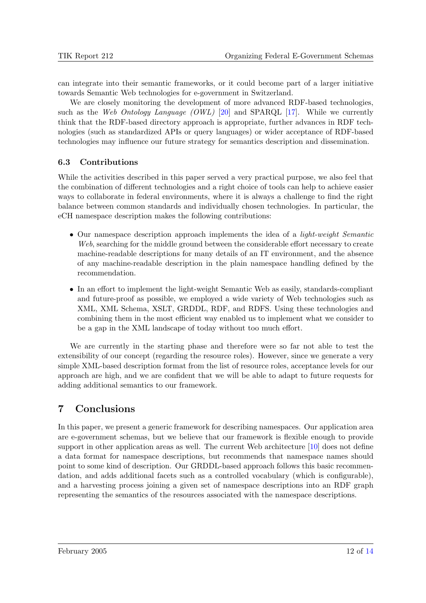can integrate into their semantic frameworks, or it could become part of a larger initiative towards Semantic Web technologies for e-government in Switzerland.

We are closely monitoring the development of more advanced RDF-based technologies, such as the Web Ontology Language (OWL) [\[20\]](#page-13-0) and SPARQL [\[17\]](#page-13-0). While we currently think that the RDF-based directory approach is appropriate, further advances in RDF technologies (such as standardized APIs or query languages) or wider acceptance of RDF-based technologies may influence our future strategy for semantics description and dissemination.

### 6.3 Contributions

While the activities described in this paper served a very practical purpose, we also feel that the combination of different technologies and a right choice of tools can help to achieve easier ways to collaborate in federal environments, where it is always a challenge to find the right balance between common standards and individually chosen technologies. In particular, the eCH namespace description makes the following contributions:

- Our namespace description approach implements the idea of a *light-weight Semantic* Web, searching for the middle ground between the considerable effort necessary to create machine-readable descriptions for many details of an IT environment, and the absence of any machine-readable description in the plain namespace handling defined by the recommendation.
- In an effort to implement the light-weight Semantic Web as easily, standards-compliant and future-proof as possible, we employed a wide variety of Web technologies such as XML, XML Schema, XSLT, GRDDL, RDF, and RDFS. Using these technologies and combining them in the most efficient way enabled us to implement what we consider to be a gap in the XML landscape of today without too much effort.

We are currently in the starting phase and therefore were so far not able to test the extensibility of our concept (regarding the resource roles). However, since we generate a very simple XML-based description format from the list of resource roles, acceptance levels for our approach are high, and we are confident that we will be able to adapt to future requests for adding additional semantics to our framework.

# 7 Conclusions

In this paper, we present a generic framework for describing namespaces. Our application area are e-government schemas, but we believe that our framework is flexible enough to provide support in other application areas as well. The current Web architecture [\[10\]](#page-12-0) does not define a data format for namespace descriptions, but recommends that namespace names should point to some kind of description. Our GRDDL-based approach follows this basic recommendation, and adds additional facets such as a controlled vocabulary (which is configurable), and a harvesting process joining a given set of namespace descriptions into an RDF graph representing the semantics of the resources associated with the namespace descriptions.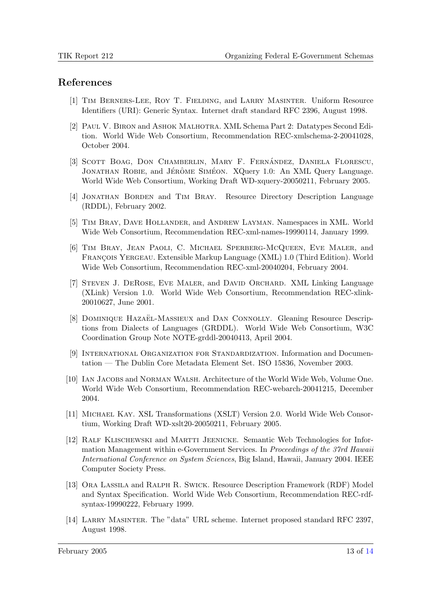### <span id="page-12-0"></span>References

- [1] Tim Berners-Lee, Roy T. Fielding, and Larry Masinter. Uniform Resource Identifiers (URI): Generic Syntax. Internet draft standard RFC 2396, August 1998.
- [2] Paul V. Biron and Ashok Malhotra. XML Schema Part 2: Datatypes Second Edition. World Wide Web Consortium, Recommendation REC-xmlschema-2-20041028, October 2004.
- [3] SCOTT BOAG, DON CHAMBERLIN, MARY F. FERNÁNDEZ, DANIELA FLORESCU, JONATHAN ROBIE, and JÉRÔME SIMÉON. XQuery 1.0: An XML Query Language. World Wide Web Consortium, Working Draft WD-xquery-20050211, February 2005.
- [4] Jonathan Borden and Tim Bray. Resource Directory Description Language (RDDL), February 2002.
- [5] Tim Bray, Dave Hollander, and Andrew Layman. Namespaces in XML. World Wide Web Consortium, Recommendation REC-xml-names-19990114, January 1999.
- [6] Tim Bray, Jean Paoli, C. Michael Sperberg-McQueen, Eve Maler, and FRANCOIS YERGEAU. Extensible Markup Language (XML) 1.0 (Third Edition). World Wide Web Consortium, Recommendation REC-xml-20040204, February 2004.
- [7] Steven J. DeRose, Eve Maler, and David Orchard. XML Linking Language (XLink) Version 1.0. World Wide Web Consortium, Recommendation REC-xlink-20010627, June 2001.
- [8] DOMINIQUE HAZAËL-MASSIEUX and DAN CONNOLLY. Gleaning Resource Descriptions from Dialects of Languages (GRDDL). World Wide Web Consortium, W3C Coordination Group Note NOTE-grddl-20040413, April 2004.
- [9] International Organization for Standardization. Information and Documentation — The Dublin Core Metadata Element Set. ISO 15836, November 2003.
- [10] IAN JACOBS and NORMAN WALSH. Architecture of the World Wide Web, Volume One. World Wide Web Consortium, Recommendation REC-webarch-20041215, December 2004.
- [11] Michael Kay. XSL Transformations (XSLT) Version 2.0. World Wide Web Consortium, Working Draft WD-xslt20-20050211, February 2005.
- [12] Ralf Klischewski and Martti Jeenicke. Semantic Web Technologies for Information Management within e-Government Services. In Proceedings of the 37rd Hawaii International Conference on System Sciences, Big Island, Hawaii, January 2004. IEEE Computer Society Press.
- [13] Ora Lassila and Ralph R. Swick. Resource Description Framework (RDF) Model and Syntax Specification. World Wide Web Consortium, Recommendation REC-rdfsyntax-19990222, February 1999.
- [14] Larry Masinter. The "data" URL scheme. Internet proposed standard RFC 2397, August 1998.